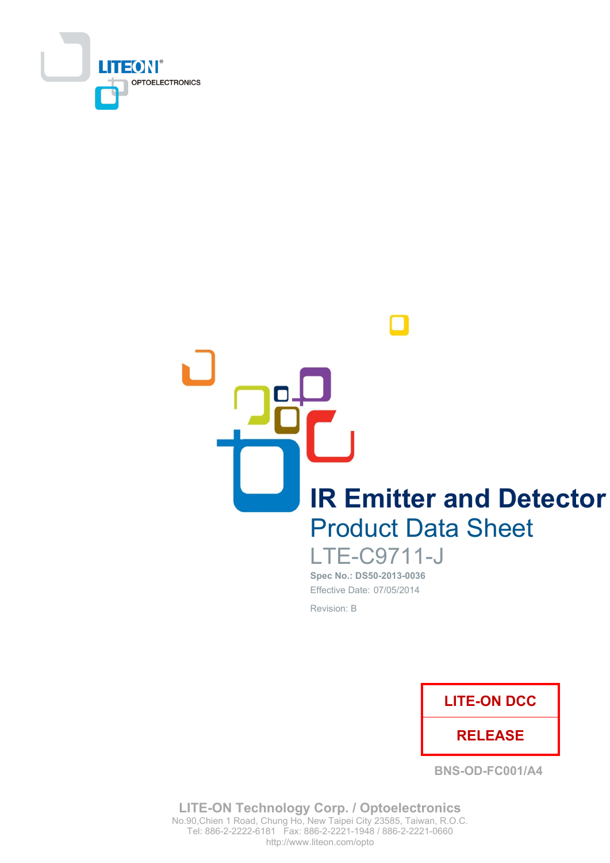

**IR Emitter and Detector Product Data Sheet** 

> **LTE-C9711-J** Spec No.: DS50-2013-0036 Effective Date: 07/05/2014 Revision: B



**BNS-OD-FC001/A4** 

**LITE-ON Technology Corp. / Optoelectronics** No.90, Chien 1 Road, Chung Ho, New Taipei City 23585, Taiwan, R.O.C. Tel: 886-2-2222-6181 Fax: 886-2-2221-1948 / 886-2-2221-0660 http://www.liteon.com/opto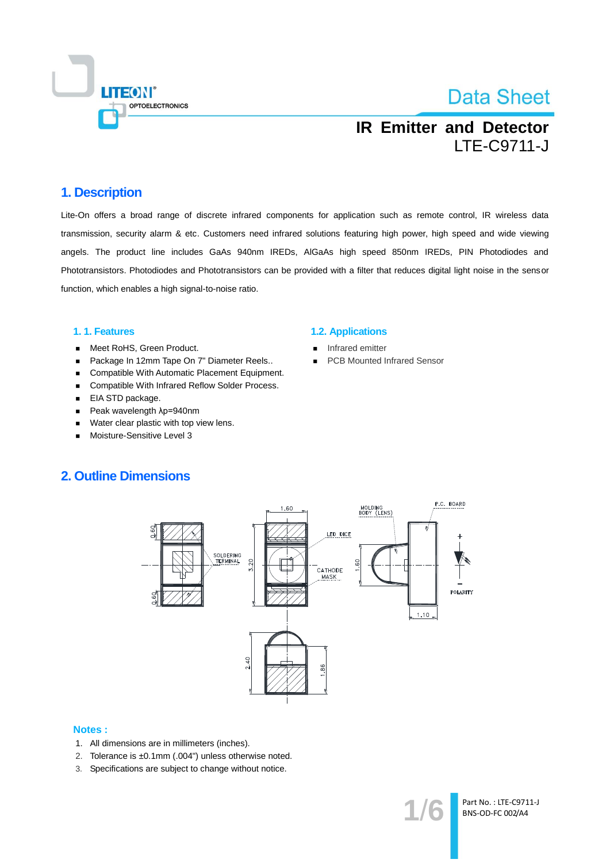

## **IR Emitter and Detector LTE-C9711-J**

### 1. Description

Lite-On offers a broad range of discrete infrared components for application such as remote control, IR wireless data transmission, security alarm & etc. Customers need infrared solutions featuring high power, high speed and wide viewing angels. The product line includes GaAs 940nm IREDs, AIGaAs high speed 850nm IREDs, PIN Photodiodes and Phototransistors. Photodiodes and Phototransistors can be provided with a filter that reduces digital light noise in the sensor function, which enables a high signal-to-noise ratio.

### 1.1. Features

- Meet RoHS, Green Product.  $\blacksquare$
- Package In 12mm Tape On 7" Diameter Reels..  $\blacksquare$
- Compatible With Automatic Placement Equipment.
- Compatible With Infrared Reflow Solder Process.  $\blacksquare$
- EIA STD package.
- Peak wavelength λp=940nm  $\blacksquare$
- Water clear plastic with top view lens.  $\blacksquare$
- Moisture-Sensitive Level 3

#### **1.2. Applications**

- Infrared emitter
- **PCB Mounted Infrared Sensor**

### **2. Outline Dimensions**



### **Notes:**

- 1. All dimensions are in millimeters (inches).
- 2. Tolerance is ±0.1mm (.004") unless otherwise noted.
- 3. Specifications are subject to change without notice.

Part No.: LTE-C9711-J BNS-OD-FC 002/A4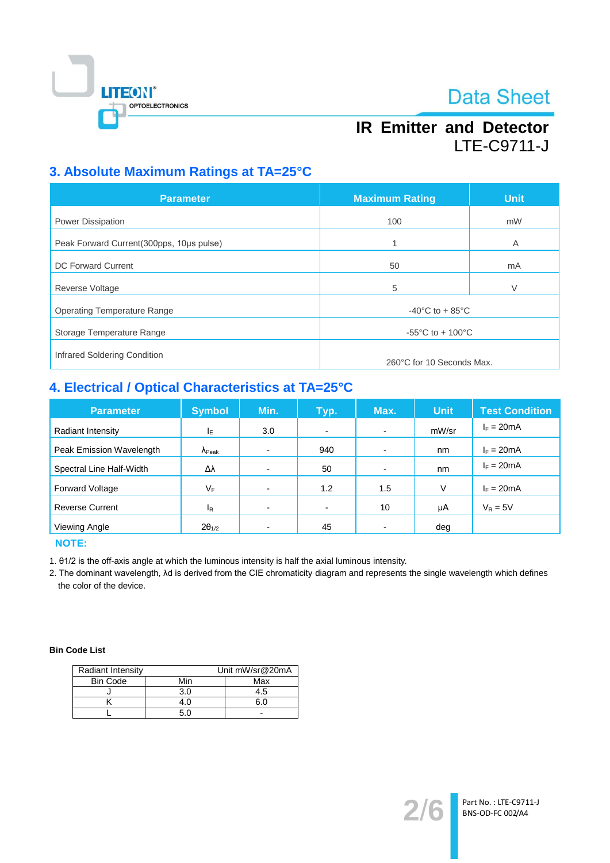

## **IR Emitter and Detector LTE-C9711-J**

## 3. Absolute Maximum Ratings at TA=25°C

| <b>Parameter</b>                         | <b>Maximum Rating</b>                  | <b>Unit</b> |  |
|------------------------------------------|----------------------------------------|-------------|--|
| <b>Power Dissipation</b>                 | 100                                    | mW          |  |
| Peak Forward Current(300pps, 10us pulse) |                                        | A           |  |
| DC Forward Current                       | 50                                     | mA          |  |
| <b>Reverse Voltage</b>                   | 5                                      | V           |  |
| <b>Operating Temperature Range</b>       | $-40^{\circ}$ C to + 85 $^{\circ}$ C   |             |  |
| Storage Temperature Range                | -55 $^{\circ}$ C to + 100 $^{\circ}$ C |             |  |
| Infrared Soldering Condition             | 260°C for 10 Seconds Max.              |             |  |

## 4. Electrical / Optical Characteristics at TA=25°C

| <b>Parameter</b>         | <b>Symbol</b>           | Min. | Typ.           | Max.                     | <b>Unit</b> | <b>Test Condition</b> |
|--------------------------|-------------------------|------|----------------|--------------------------|-------------|-----------------------|
| Radiant Intensity        | IΕ                      | 3.0  | $\blacksquare$ | $\blacksquare$           | mW/sr       | $I_F = 20mA$          |
| Peak Emission Wavelength | $\Lambda_{\text{Peak}}$ |      | 940            | $\overline{\phantom{0}}$ | nm          | $I_F = 20mA$          |
| Spectral Line Half-Width | Δλ                      |      | 50             | $\overline{\phantom{0}}$ | nm          | $I_F = 20mA$          |
| <b>Forward Voltage</b>   | VF                      |      | 1.2            | 1.5                      | V           | $I_F = 20mA$          |
| <b>Reverse Current</b>   | $I_{\mathsf{R}}$        | ۰    | $\blacksquare$ | 10                       | μA          | $V_R = 5V$            |
| Viewing Angle            | $2\theta_{1/2}$         |      | 45             |                          | deg         |                       |

**NOTE:** 

1. 01/2 is the off-axis angle at which the luminous intensity is half the axial luminous intensity.

2. The dominant wavelength, Ad is derived from the CIE chromaticity diagram and represents the single wavelength which defines the color of the device.

### **Bin Code List**

| <b>Radiant Intensity</b> | Unit mW/sr@20mA |     |  |
|--------------------------|-----------------|-----|--|
| <b>Bin Code</b>          | Min             | Max |  |
|                          | 3.0             | 4.5 |  |
|                          |                 |     |  |
|                          |                 |     |  |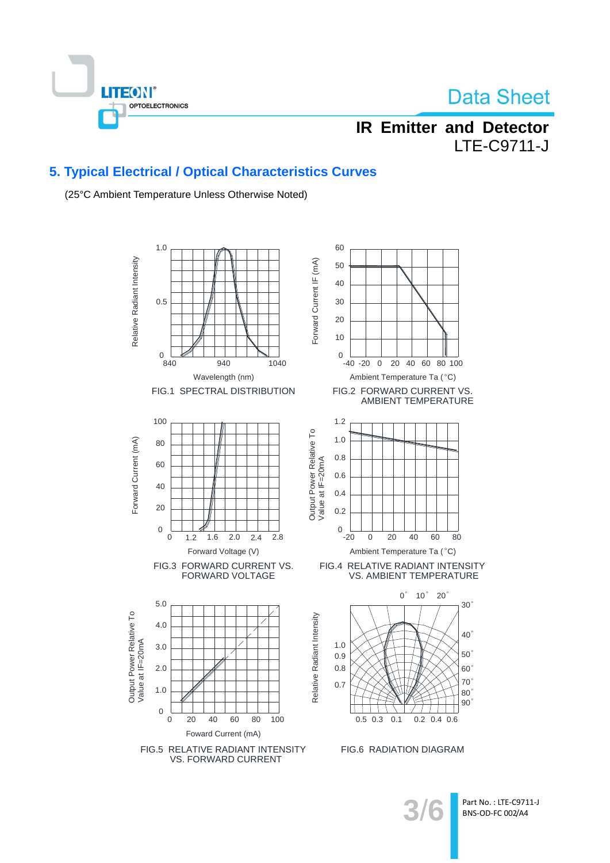

## **IR Emitter and Detector LTE-C9711-J**

### 5. Typical Electrical / Optical Characteristics Curves

(25°C Ambient Temperature Unless Otherwise Noted)



Part No.: LTE-C9711-J BNS-OD-FC 002/A4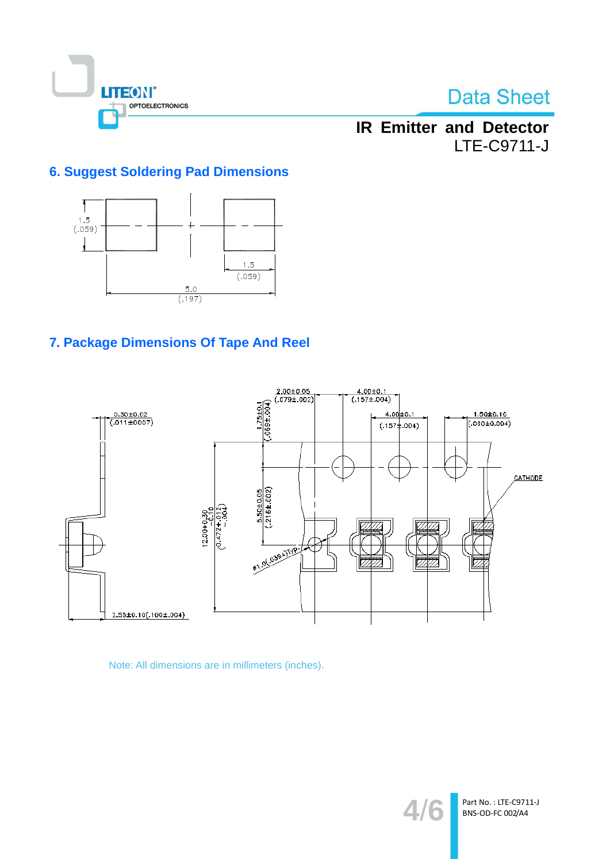

## **IR Emitter and Detector** LTE-C9711-J

## **6. Suggest Soldering Pad Dimensions**



## 7. Package Dimensions Of Tape And Reel



Note: All dimensions are in millimeters (inches).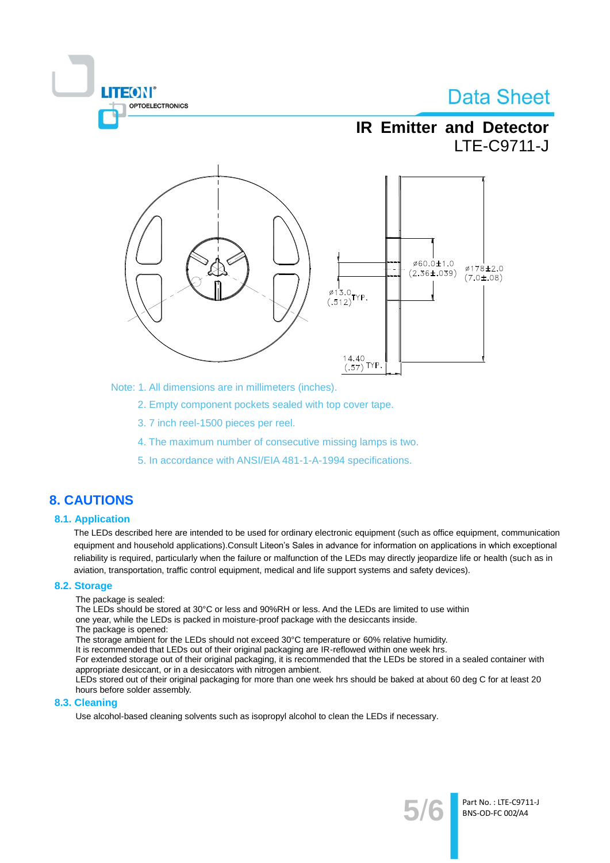

Note: 1. All dimensions are in millimeters (inches).

2. Empty component pockets sealed with top cover tape.

- 3.7 inch reel-1500 pieces per reel.
- 4. The maximum number of consecutive missing lamps is two.
- 5. In accordance with ANSI/EIA 481-1-A-1994 specifications.

### **8. CAUTIONS**

### **8.1. Application**

The LEDs described here are intended to be used for ordinary electronic equipment (such as office equipment, communication equipment and household applications). Consult Liteon's Sales in advance for information on applications in which exceptional reliability is required, particularly when the failure or malfunction of the LEDs may directly jeopardize life or health (such as in aviation, transportation, traffic control equipment, medical and life support systems and safety devices).

#### 8.2. Storage

The package is sealed:

**TEON** 

The LEDs should be stored at 30°C or less and 90%RH or less. And the LEDs are limited to use within one year, while the LEDs is packed in moisture-proof package with the desiccants inside.

The package is opened:

The storage ambient for the LEDs should not exceed 30°C temperature or 60% relative humidity.

It is recommended that LEDs out of their original packaging are IR-reflowed within one week hrs.

For extended storage out of their original packaging, it is recommended that the LEDs be stored in a sealed container with appropriate desiccant, or in a desiccators with nitrogen ambient.

LEDs stored out of their original packaging for more than one week hrs should be baked at about 60 deg C for at least 20 hours before solder assembly.

### 8.3. Cleaning

Use alcohol-based cleaning solvents such as isopropyl alcohol to clean the LEDs if necessary.